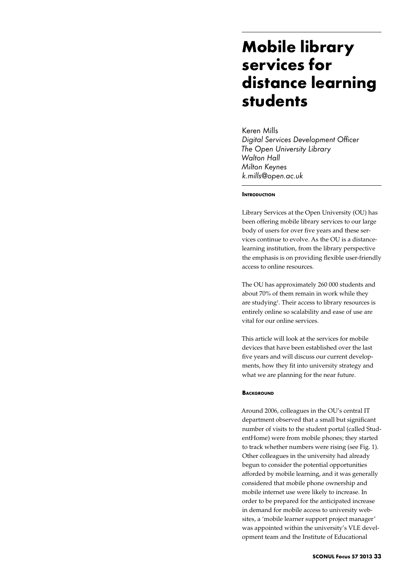# **Mobile library services for distance learning students**

## Keren Mills

*Digital Services Development Officer The Open University Library Walton Hall Milton Keynes k.mills@open.ac.uk*

## **INTRODUCTION**

Library Services at the Open University (OU) has been offering mobile library services to our large body of users for over five years and these services continue to evolve. As the OU is a distancelearning institution, from the library perspective the emphasis is on providing flexible user-friendly access to online resources.

The OU has approximately 260 000 students and about 70% of them remain in work while they are studying<sup>1</sup>. Their access to library resources is entirely online so scalability and ease of use are vital for our online services.

This article will look at the services for mobile devices that have been established over the last five years and will discuss our current developments, how they fit into university strategy and what we are planning for the near future.

## **BACKGROUND**

Around 2006, colleagues in the OU's central IT department observed that a small but significant number of visits to the student portal (called StudentHome) were from mobile phones; they started to track whether numbers were rising (see Fig. 1). Other colleagues in the university had already begun to consider the potential opportunities afforded by mobile learning, and it was generally considered that mobile phone ownership and mobile internet use were likely to increase. In order to be prepared for the anticipated increase in demand for mobile access to university websites, a 'mobile learner support project manager' was appointed within the university's VLE development team and the Institute of Educational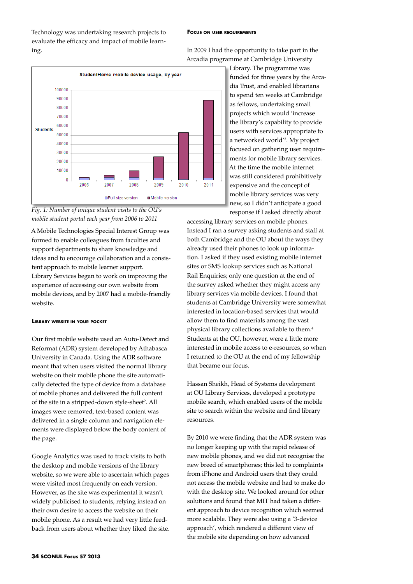#### **Focus on user requirements**

Technology was undertaking research projects to evaluate the efficacy and impact of mobile learning.

In 2009 I had the opportunity to take part in the Arcadia programme at Cambridge University



*Fig. 1: Number of unique student visits to the OU's mobile student portal each year from 2006 to 2011*

A Mobile Technologies Special Interest Group was formed to enable colleagues from faculties and support departments to share knowledge and ideas and to encourage collaboration and a consistent approach to mobile learner support. Library Services began to work on improving the experience of accessing our own website from mobile devices, and by 2007 had a mobile-friendly website.

## **Library website in your pocket**

Our first mobile website used an Auto-Detect and Reformat (ADR) system developed by Athabasca University in Canada. Using the ADR software meant that when users visited the normal library website on their mobile phone the site automatically detected the type of device from a database of mobile phones and delivered the full content of the site in a stripped-down style-sheet<sup>2</sup>. All images were removed, text-based content was delivered in a single column and navigation elements were displayed below the body content of the page.

Google Analytics was used to track visits to both the desktop and mobile versions of the library website, so we were able to ascertain which pages were visited most frequently on each version. However, as the site was experimental it wasn't widely publicised to students, relying instead on their own desire to access the website on their mobile phone. As a result we had very little feedback from users about whether they liked the site.

Library. The programme was funded for three years by the Arcadia Trust, and enabled librarians to spend ten weeks at Cambridge as fellows, undertaking small projects which would 'increase the library's capability to provide users with services appropriate to a networked world'3 . My project focused on gathering user requirements for mobile library services. At the time the mobile internet was still considered prohibitively expensive and the concept of mobile library services was very new, so I didn't anticipate a good response if I asked directly about

accessing library services on mobile phones. Instead I ran a survey asking students and staff at both Cambridge and the OU about the ways they already used their phones to look up information. I asked if they used existing mobile internet sites or SMS lookup services such as National Rail Enquiries; only one question at the end of the survey asked whether they might access any library services via mobile devices. I found that students at Cambridge University were somewhat interested in location-based services that would allow them to find materials among the vast physical library collections available to them.<sup>4</sup> Students at the OU, however, were a little more interested in mobile access to e-resources, so when I returned to the OU at the end of my fellowship that became our focus.

Hassan Sheikh, Head of Systems development at OU Library Services, developed a prototype mobile search, which enabled users of the mobile site to search within the website and find library resources.

By 2010 we were finding that the ADR system was no longer keeping up with the rapid release of new mobile phones, and we did not recognise the new breed of smartphones; this led to complaints from iPhone and Android users that they could not access the mobile website and had to make do with the desktop site. We looked around for other solutions and found that MIT had taken a different approach to device recognition which seemed more scalable. They were also using a '3-device approach', which rendered a different view of the mobile site depending on how advanced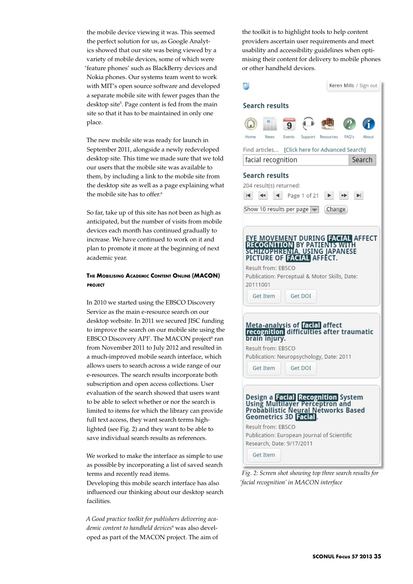the mobile device viewing it was. This seemed the perfect solution for us, as Google Analytics showed that our site was being viewed by a variety of mobile devices, some of which were 'feature phones' such as BlackBerry devices and Nokia phones. Our systems team went to work with MIT's open source software and developed a separate mobile site with fewer pages than the desktop site<sup>5</sup>. Page content is fed from the main site so that it has to be maintained in only one place.

The new mobile site was ready for launch in September 2011, alongside a newly redeveloped desktop site. This time we made sure that we told our users that the mobile site was available to them, by including a link to the mobile site from the desktop site as well as a page explaining what the mobile site has to offer.<sup>6</sup>

So far, take up of this site has not been as high as anticipated, but the number of visits from mobile devices each month has continued gradually to increase. We have continued to work on it and plan to promote it more at the beginning of next academic year.

## **The Mobilising Academic Content Online (MACON) project**

In 2010 we started using the EBSCO Discovery Service as the main e-resource search on our desktop website. In 2011 we secured JISC funding to improve the search on our mobile site using the EBSCO Discovery API<sup>7</sup>. The MACON project<sup>8</sup> ran from November 2011 to July 2012 and resulted in a much-improved mobile search interface, which allows users to search across a wide range of our e-resources. The search results incorporate both subscription and open access collections. User evaluation of the search showed that users want to be able to select whether or nor the search is limited to items for which the library can provide full text access, they want search terms highlighted (see Fig. 2) and they want to be able to save individual search results as references.

We worked to make the interface as simple to use as possible by incorporating a list of saved search terms and recently read items. Developing this mobile search interface has also influenced our thinking about our desktop search facilities.

*A Good practice toolkit for publishers delivering academic content to handheld devices*<sup>9</sup> was also developed as part of the MACON project. The aim of the toolkit is to highlight tools to help content providers ascertain user requirements and meet usability and accessibility guidelines when optimising their content for delivery to mobile phones or other handheld devices.



*Fig. 2: Screen shot showing top three search results for 'facial recognition' in MACON interface*